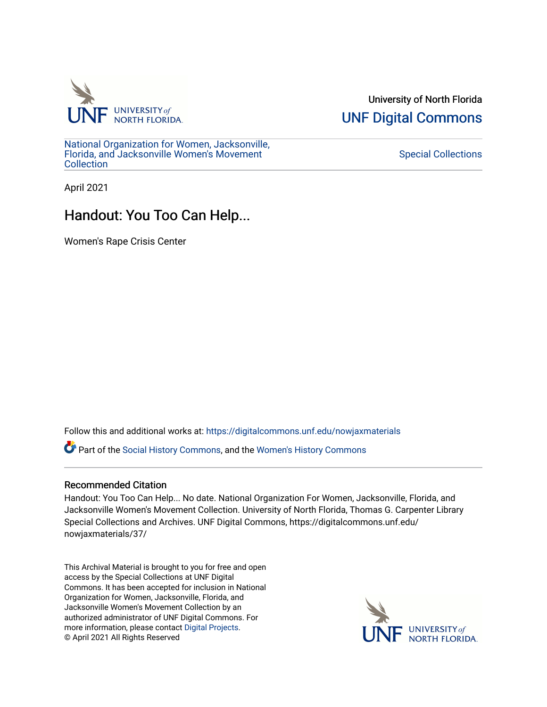

University of North Florida [UNF Digital Commons](https://digitalcommons.unf.edu/) 

[National Organization for Women, Jacksonville,](https://digitalcommons.unf.edu/nowjaxmaterials) [Florida, and Jacksonville Women's Movement](https://digitalcommons.unf.edu/nowjaxmaterials) [Collection](https://digitalcommons.unf.edu/nowjaxmaterials) 

[Special Collections](https://digitalcommons.unf.edu/special_collections) 

April 2021

# Handout: You Too Can Help...

Women's Rape Crisis Center

Follow this and additional works at: [https://digitalcommons.unf.edu/nowjaxmaterials](https://digitalcommons.unf.edu/nowjaxmaterials?utm_source=digitalcommons.unf.edu%2Fnowjaxmaterials%2F37&utm_medium=PDF&utm_campaign=PDFCoverPages) 

Part of the [Social History Commons](http://network.bepress.com/hgg/discipline/506?utm_source=digitalcommons.unf.edu%2Fnowjaxmaterials%2F37&utm_medium=PDF&utm_campaign=PDFCoverPages), and the [Women's History Commons](http://network.bepress.com/hgg/discipline/507?utm_source=digitalcommons.unf.edu%2Fnowjaxmaterials%2F37&utm_medium=PDF&utm_campaign=PDFCoverPages)

### Recommended Citation

Handout: You Too Can Help... No date. National Organization For Women, Jacksonville, Florida, and Jacksonville Women's Movement Collection. University of North Florida, Thomas G. Carpenter Library Special Collections and Archives. UNF Digital Commons, https://digitalcommons.unf.edu/ nowjaxmaterials/37/

This Archival Material is brought to you for free and open access by the Special Collections at UNF Digital Commons. It has been accepted for inclusion in National Organization for Women, Jacksonville, Florida, and Jacksonville Women's Movement Collection by an authorized administrator of UNF Digital Commons. For more information, please contact [Digital Projects](mailto:lib-digital@unf.edu). © April 2021 All Rights Reserved

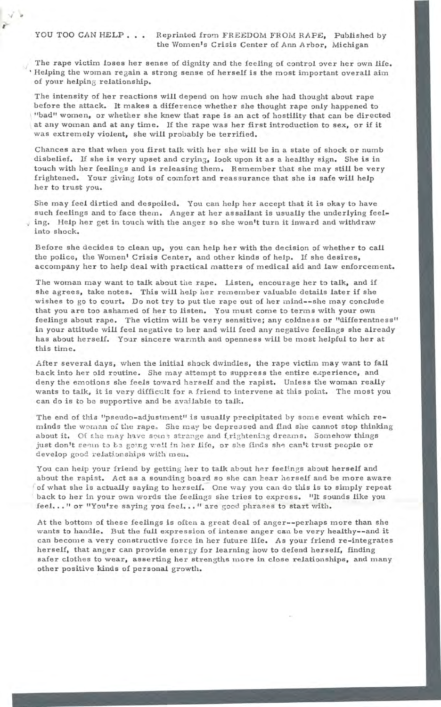The rape victim loses her sense of dignity and the feeling of control over her own life. Helping the woman regain a strong sense of herself is the most important overall aim of your helping relationship.

The intensity of her reactions will depend on how much she had thought about rape before the attack. It makes a difference whether she thought rape only happened to "bad" women, or whether she knew that rape is an act of hostility that can be directed at any woman and at any time. If the rape was her first introduction to sex, or if it was extremely violent, she will probably be terrified.

Chances are that when you first talk with her she will be in a state of shock or numb disbelief. If she is very upset and crying, look upon it as a healthy sign. She is in touch with her feelings and is releasing them. Remember that she may still be *very*  frightened. Your giving lots of comfort and reassurance that she is safe will help her to trust you.

She may feel dirtied and despoiled. You can help her accept that it is okay to have such feelings and to face them. Anger at her assailant is usually the underlying feeling. Help her get in touch with the anger so she won't turn it inward and withdraw into shock.

Before she decides to clean up, you can help her with the decision of whether to call the police, the Women' Crisis Center, and other kinds of help. If she desires, accompany her to help deal with practical matters of medical aid and law enforcement.

The woman may want to talk about the rape. Listen, encourage her to talk, and if she agrees, take notes. This will help her remember valuable details later if she wishes to go to court. Do not try to put the rape out of her mind--she may conclude that you are too ashamed of her to listen. You must come to terms with your own feelings about rape. The victim will be very sensitive; any coldness or "differentness" in your attitude will feel negative to her and will feed any negative feelings she already has about herself. Your sincere warmth and openness will be most helpful to her at this time.

After several days, when the initial shock dwindles, the rape victim may want to fall back into her old routine. She may attempt to suppress the entire experience, and deny the emotions she feels toward herself and the rapist. Unless the woman really wants to talk, it is very difficult for a friend to intervene at this point. The most you can do is to be supportive and be available to talk.

The end of this "pseudo-adjustment" is usually precipitated *by* some event which reminds the woman of the rape. She may be depressed and find she cannot stop thinking about it. Of she may have some strange and frightening dreams. Somehow things just don't seem to be going *well* in her life, or she finds she can't trust people or develop good relationships with men.

You can heip your friend *by* getting her to talk about her feelings about herself and about the rapist. Act as a sounding board so she can hear herself and be more aware of what she is actually saying to herself. One way you can do this is to simply repeat back to her in your own words the feelings she tries to express. "It sounds like *you*  feel ... " or "You're saying you feel ..." are good phrases to start with.

*At* the bottom of these feelings is often a great deal of anger--perhaps more than she wants to handle. But the full expression of intense anger can be very healthy--and it can become a very constructive force in her future life. As your friend re-integrates herself, that anger can provide energy for learning how to defend herself, finding safer clothes to wear, asserting her strengths more in close relationships, and many other positive kinds of personal growth.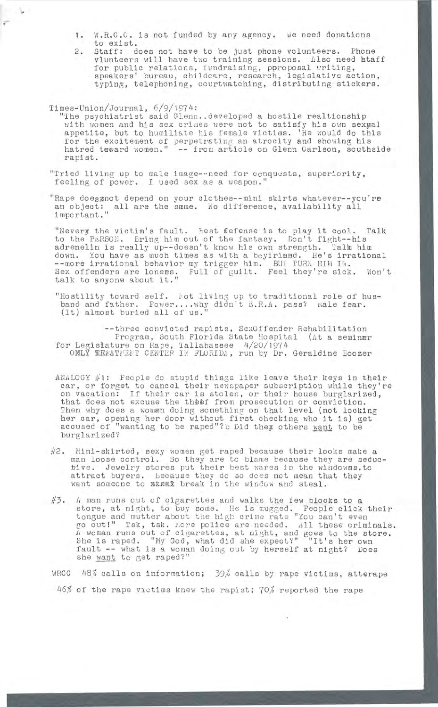- 1. W.R.C.C. is not funded by any agency. We need donations to exist.
- 2. Staff: does not have to be just phone volunteers. Phone vlunteers will have two training sessions. Also need htaff for public relations, fundraising, pproposal writing, speakers' bureau, childcare, research, legislative action, typing, telephoning, courtwatching, distributing stickers.

## Times-Union/Journal, 6/9/1974:

i Vi

- "The psychiatrist said Glenn..developed a hostile realtionship with women and his sex crimes were not to satisfy his own sexual appetite, but to humiliate his female victims. 'He would do this for the excitement of perpetrating an atrocity and showing his hatred toward women." -- from article on Glenn Carlson, southside rapist.
- "Tried living up to male image--need for conquests, superiority, feeling of power. I used sex as a weapon.
- "Rape does anot depend on your clothes--mini skirts whatever--you're an object: all are the same. No difference, availability all important."

"Nevery the victim's fault. Best flefense is to play it cool. Talk to the PERSON. Bring him out of the fantasy. Don't fight--his adrenelin is really up--doesn't know his own strength. Talk him down. You have as much times as with a boyfriend. He's irrational down: fou have as much times as wron a boyiring. He s in Sex offenders are loness. Full of Guilt. Feel they're sick. Won't talk to anyone a bout it."

"Hostility toward self. Not living up to traditional role of hushostillty toward sell. Fot living up to traditional role of n<br>band and father. Fower....why didn't E.R.A. pass? Male fear.  $(Lt)$  almost buried all of us."

--three convicted rapists, SexOffender Rehabilitation Program, South Florida State Hospital (At a seminar for Legislature on Rape, Tallahassee 4/20/1974 ONLY EREATMENT CENTER IN FLORIDA, run by Dr. Geraldine Boozer

- ANALOGY  $\#1$ : People do stupid things like leave their keys in their car, or forget to cancel their newspaper subscription while they're on vacation: If their car is stolen, or their house burglarized, that does not excuse the theef from prosecution or conviction. Then why does a woman doing something on that level (not locking inen why does a woman doing something on that level (hot locking<br>her car, opening her door without first checking who it is) get accused of "wanting to be raped"?b Did they others want to be burglarized?
- #2. Mini-skirted, sexy women get raped because their looks make a man loose control. So they are to blame because they are seductive. Jewelry stores put their best wares in the windowss. to attract buyers. Lecause they do so dces not mean that they want someone to ELERX break in the window and steal.
- #3. *<sup>A</sup>* man runs out of cigarettes and walks the few blocks to a store, at night, to buy some. He is mugged. People click their tongue and mutter about the high crime rate "You can't even go out!" Tsk, tsk. More police are needed. All these criminals.<br>A woman runs out of cigarettes, at night, and goes to the store.<br>She is raped. "My God, what did she expect?" "It's her own fault -- what is a woman doing out by herself at night? Does she want to get raped?"
	- WRCC 48% calls on information; 39% calls by rape victims, atterape 46% of the rape victims knew the rapist; 70% reported the rape